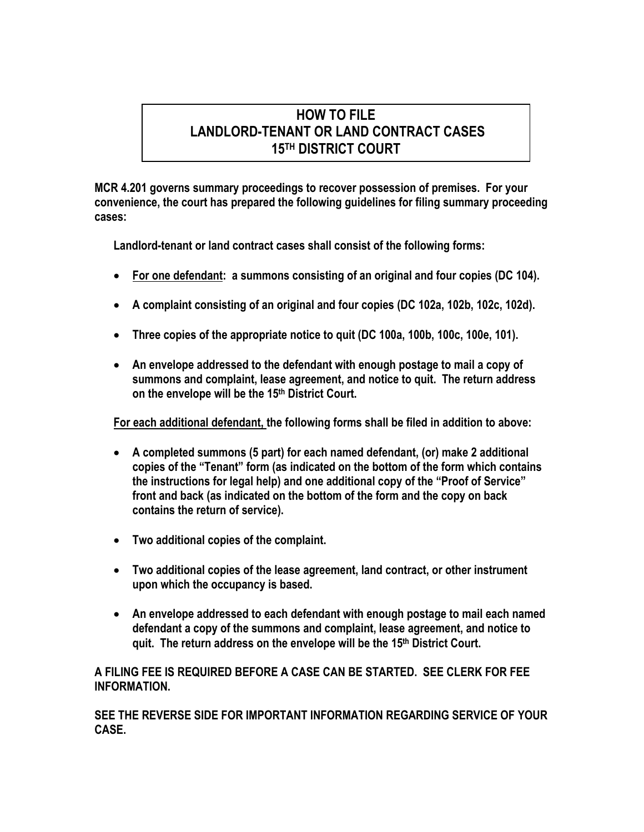## **HOW TO FILE LANDLORD-TENANT OR LAND CONTRACT CASES 15TH DISTRICT COURT**

**MCR 4.201 governs summary proceedings to recover possession of premises. For your convenience, the court has prepared the following guidelines for filing summary proceeding cases:** 

**Landlord-tenant or land contract cases shall consist of the following forms:** 

- **For one defendant: a summons consisting of an original and four copies (DC 104).**
- **A complaint consisting of an original and four copies (DC 102a, 102b, 102c, 102d).**
- **Three copies of the appropriate notice to quit (DC 100a, 100b, 100c, 100e, 101).**
- **An envelope addressed to the defendant with enough postage to mail a copy of summons and complaint, lease agreement, and notice to quit. The return address on the envelope will be the 15th District Court.**

**For each additional defendant, the following forms shall be filed in addition to above:** 

- **A completed summons (5 part) for each named defendant, (or) make 2 additional copies of the "Tenant" form (as indicated on the bottom of the form which contains the instructions for legal help) and one additional copy of the "Proof of Service" front and back (as indicated on the bottom of the form and the copy on back contains the return of service).**
- **Two additional copies of the complaint.**
- **Two additional copies of the lease agreement, land contract, or other instrument upon which the occupancy is based.**
- **An envelope addressed to each defendant with enough postage to mail each named defendant a copy of the summons and complaint, lease agreement, and notice to quit. The return address on the envelope will be the 15th District Court.**

**A FILING FEE IS REQUIRED BEFORE A CASE CAN BE STARTED. SEE CLERK FOR FEE INFORMATION.** 

**SEE THE REVERSE SIDE FOR IMPORTANT INFORMATION REGARDING SERVICE OF YOUR CASE.**